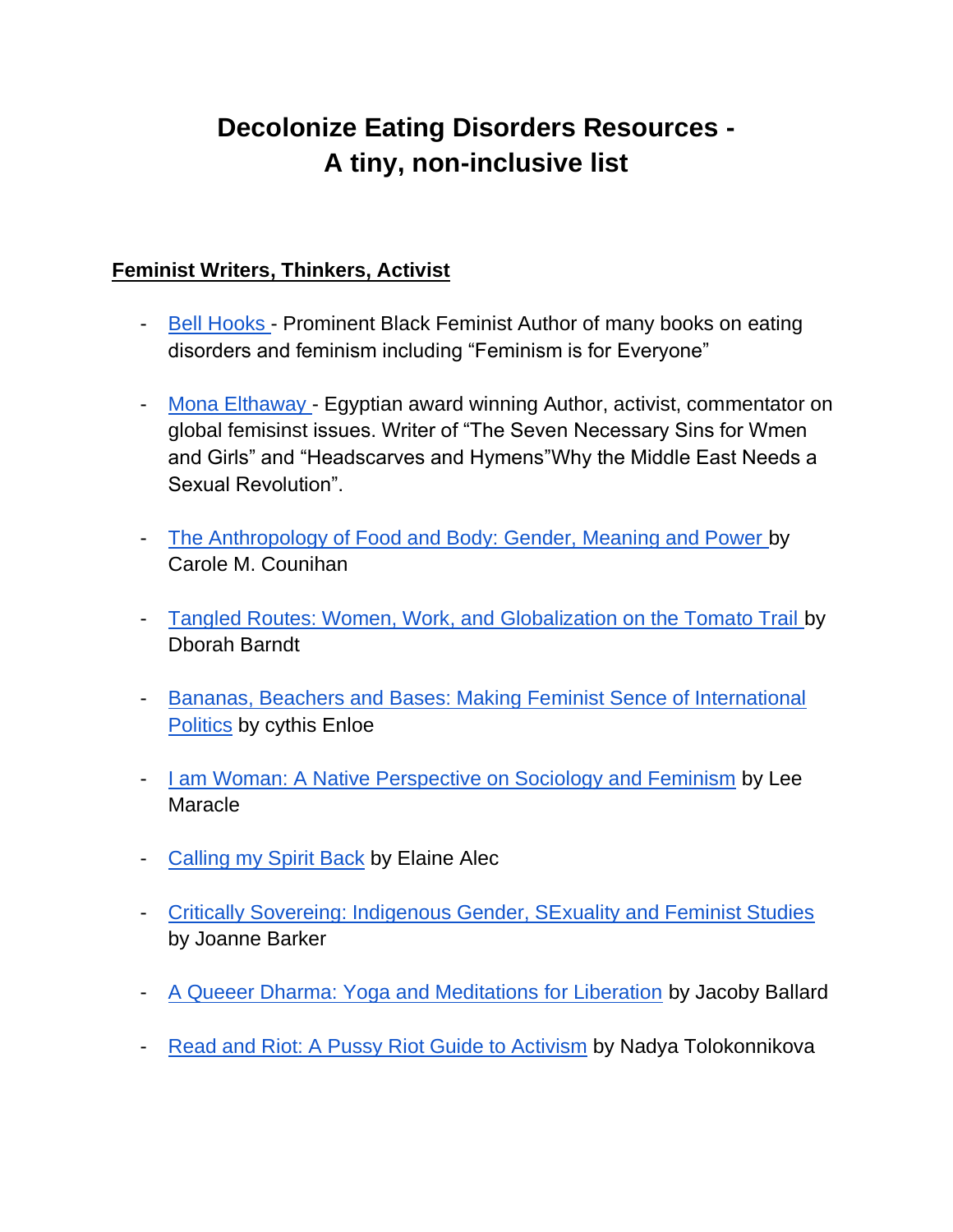# **Decolonize Eating Disorders Resources - A tiny, non-inclusive list**

### **Feminist Writers, Thinkers, Activist**

- [Bell Hooks -](https://www.poetryfoundation.org/poets/bell-hooks) Prominent Black Feminist Author of many books on eating disorders and feminism including "Feminism is for Everyone"
- [Mona Elthaway -](http://www.monaeltahawy.com/) Egyptian award winning Author, activist, commentator on global femisinst issues. Writer of "The Seven Necessary Sins for Wmen and Girls" and "Headscarves and Hymens"Why the Middle East Needs a Sexual Revolution".
- [The Anthropology of Food and Body: Gender, Meaning and Power b](https://books.google.com/books/about/The_Anthropology_of_Food_and_Body.html?id=f3UKRcaDifQC)y Carole M. Counihan
- [Tangled Routes: Women, Work, and Globalization on the Tomato Trail b](https://www.amazon.com/Tangled-Routes-Globalization-Tomato-Second/dp/0742555577)y Dborah Barndt
- [Bananas, Beachers and Bases: Making Feminist Sence of International](https://www.ucpress.edu/book/9780520279995/bananas-beaches-and-bases)  **[Politics](https://www.ucpress.edu/book/9780520279995/bananas-beaches-and-bases)** by cythis Enloe
- [I am Woman: A Native Perspective on Sociology and Feminism](https://www.amazon.com/Am-Woman-Perspective-Sociology-Feminism/dp/0889740593) by Lee **Maracle**
- [Calling my Spirit Back](https://www.amazon.com/Calling-Spirit-Back-Elaine-Alec/dp/0228830699) by Elaine Alec
- [Critically Sovereing: Indigenous Gender, SExuality and Feminist Studies](https://www.amazon.com/Critically-Sovereign-Indigenous-Sexuality-Feminist/dp/0822363658) by Joanne Barker
- [A Queeer Dharma: Yoga and Meditations for Liberation](https://www.amazon.com/Queer-Dharma-Yoga-Meditations-Liberation/dp/1623176514) by Jacoby Ballard
- [Read and Riot: A Pussy Riot Guide to Activism](https://www.amazon.com/Read-Riot-Pussy-Guide-Activism-ebook/dp/B071NKV7M2) by Nadya Tolokonnikova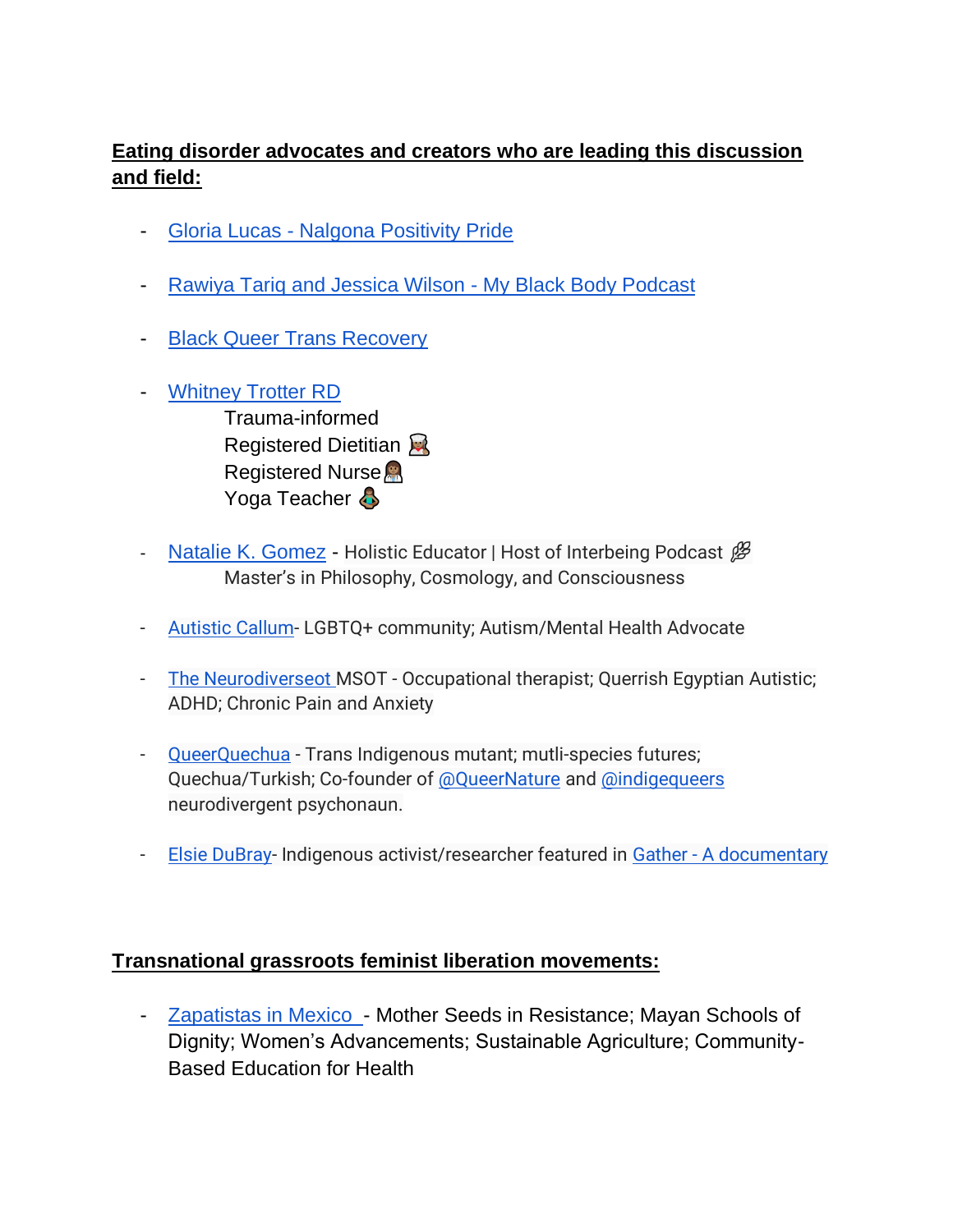## **Eating disorder advocates and creators who are leading this discussion and field:**

- Gloria Lucas [Nalgona Positivity Pride](https://www.nalgonapositivitypride.com/instagram)
- [Rawiya Tariq and Jessica Wilson -](https://www.myblackbody.org/) My Black Body Podcast
- **Black Queer Trans Recovery**
- [Whitney Trotter RD](https://whitneytrotter.com/)  Trauma-informed Registered Dietitian Registered Nurse Yoga Teacher &
- [Natalie K. Gomez](https://www.instagram.com/nataliekgomez/?hl=en) Holistic Educator | Host of Interbeing Podcast  $\mathscr{B}$ Master's in Philosophy, Cosmology, and Consciousness
- [Autistic Callum-](https://www.instagram.com/adulting_with_autism_/?hl=en) LGBTQ+ community; Autism/Mental Health Advocate
- [The Neurodiverseot M](https://www.instagram.com/theneurodiverseot/?hl=en)SOT Occupational therapist; Querrish Egyptian Autistic; ADHD; Chronic Pain and Anxiety
- [QueerQuechua](https://www.instagram.com/queerquechua/?hl=en) Trans Indigenous mutant; mutli-species futures; Quechua/Turkish; Co-founder of [@QueerNature](https://www.instagram.com/QueerNature/?hl=en) and [@indigequeers](https://www.instagram.com/indigequeers/?hl=en) neurodivergent psychonaun.
- [Elsie DuBray-](https://www.instagram.com/elsiedubray/) Indigenous activist/researcher featured in Gather [A documentary](https://www.instagram.com/gatherfilm/)

#### **Transnational grassroots feminist liberation movements:**

- [Zapatistas in Mexico -](https://schoolsforchiapas.org/) Mother Seeds in Resistance; Mayan Schools of Dignity; Women's Advancements; Sustainable Agriculture; Community-Based Education for Health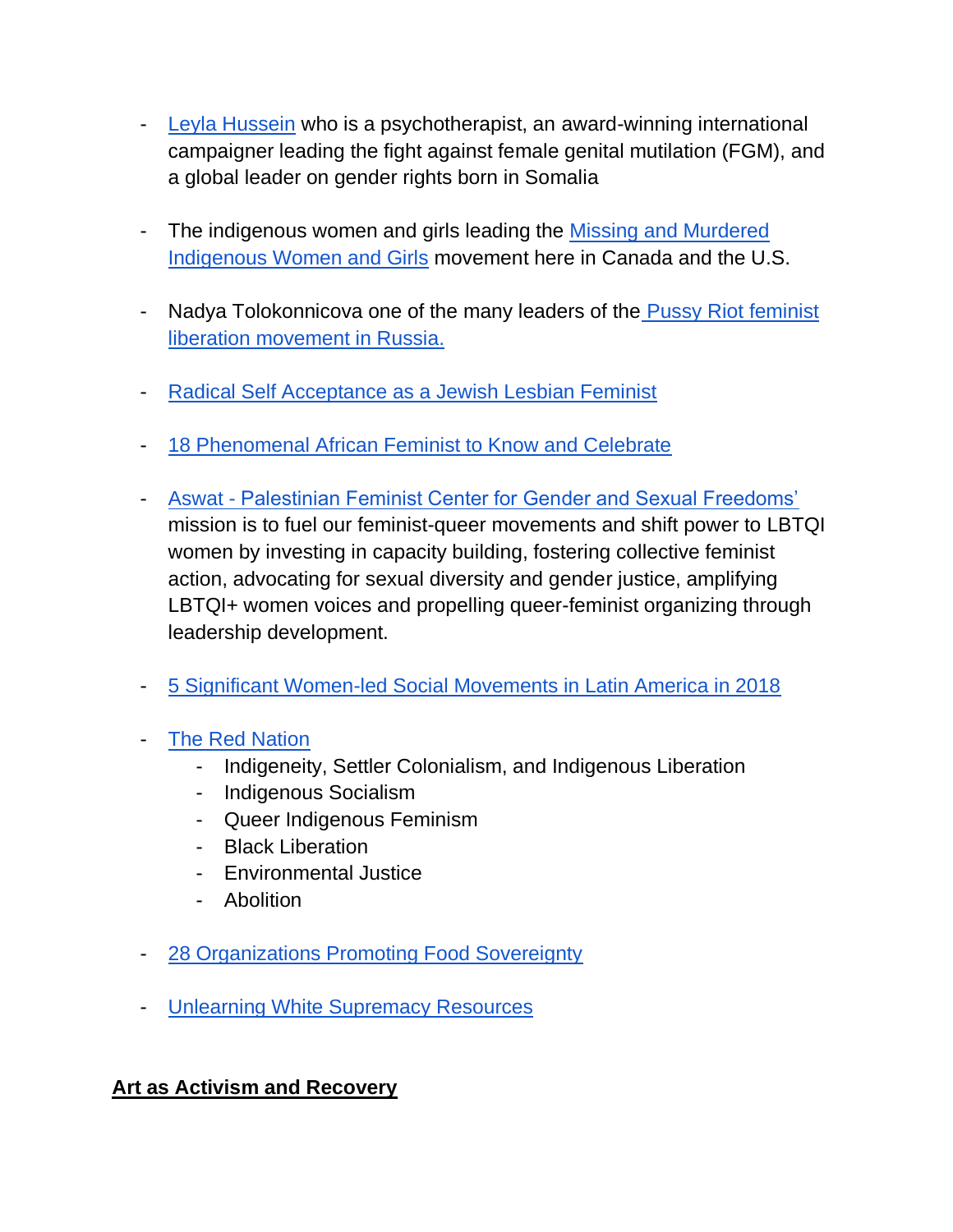- [Leyla Hussein](https://www.leylahussein.co.uk/) who is a psychotherapist, an award-winning international campaigner leading the fight against female genital mutilation (FGM), and a global leader on gender rights born in Somalia
- The indigenous women and girls leading the Missing and Murdered [Indigenous Women and Girls](https://www.csvanw.org/mmiw) movement here in Canada and the U.S.
- Nadya Tolokonnicova one of the many leaders of the Pussy Riot feminist [liberation movement in Russia.](https://xxpussyriotxx.com/)
- [Radical Self Acceptance as a Jewish Lesbian Feminist](https://jwa.org/blog/risingvoices/jewish-lesbian-teens-journey-self-development)
- [18 Phenomenal African Feminist to Know and Celebrate](http://www.africanfeministforum.com/18-phenomenal-african-feminists-to-know-and-celebrate-2/)
- Aswat [Palestinian Feminist Center for Gender and Sexual Freedoms'](https://www.aswatgroup.org/)  mission is to fuel our feminist-queer movements and shift power to LBTQI women by investing in capacity building, fostering collective feminist action, advocating for sexual diversity and gender justice, amplifying LBTQI+ women voices and propelling queer-feminist organizing through leadership development.
- [5 Significant Women-led Social Movements in Latin America in 2018](https://www.telesurenglish.net/news/5-Significant-Women-Social-Movements-in-Latin-America--in-2018-20190308-0020.html)
- [The Red Nation](https://therednation.org/) 
	- Indigeneity, Settler Colonialism, and Indigenous Liberation
	- Indigenous Socialism
	- Queer Indigenous Feminism
	- Black Liberation
	- Environmental Justice
	- Abolition
- [28 Organizations Promoting Food Sovereignty](https://foodtank.com/news/2020/08/28-organizations-promoting-indigenous-food-sovereignty/)
- [Unlearning White Supremacy Resources](https://calshakes.org/unlearning-white-supremacy-resources/)

## **Art as Activism and Recovery**